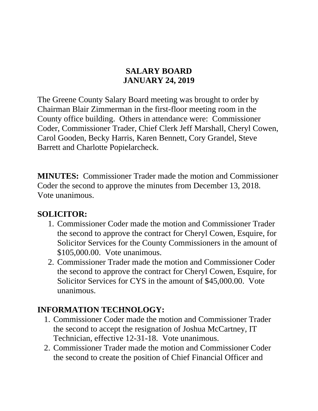#### **SALARY BOARD JANUARY 24, 2019**

The Greene County Salary Board meeting was brought to order by Chairman Blair Zimmerman in the first-floor meeting room in the County office building. Others in attendance were: Commissioner Coder, Commissioner Trader, Chief Clerk Jeff Marshall, Cheryl Cowen, Carol Gooden, Becky Harris, Karen Bennett, Cory Grandel, Steve Barrett and Charlotte Popielarcheck.

**MINUTES:** Commissioner Trader made the motion and Commissioner Coder the second to approve the minutes from December 13, 2018. Vote unanimous.

#### **SOLICITOR:**

- 1. Commissioner Coder made the motion and Commissioner Trader the second to approve the contract for Cheryl Cowen, Esquire, for Solicitor Services for the County Commissioners in the amount of \$105,000.00. Vote unanimous.
- 2. Commissioner Trader made the motion and Commissioner Coder the second to approve the contract for Cheryl Cowen, Esquire, for Solicitor Services for CYS in the amount of \$45,000.00. Vote unanimous.

### **INFORMATION TECHNOLOGY:**

- 1. Commissioner Coder made the motion and Commissioner Trader the second to accept the resignation of Joshua McCartney, IT Technician, effective 12-31-18. Vote unanimous.
- 2. Commissioner Trader made the motion and Commissioner Coder the second to create the position of Chief Financial Officer and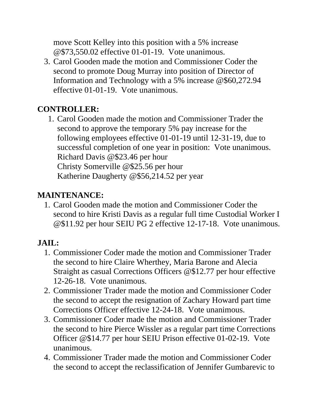move Scott Kelley into this position with a 5% increase @\$73,550.02 effective 01-01-19. Vote unanimous.

3. Carol Gooden made the motion and Commissioner Coder the second to promote Doug Murray into position of Director of Information and Technology with a 5% increase @\$60,272.94 effective 01-01-19. Vote unanimous.

### **CONTROLLER:**

1. Carol Gooden made the motion and Commissioner Trader the second to approve the temporary 5% pay increase for the following employees effective 01-01-19 until 12-31-19, due to successful completion of one year in position: Vote unanimous. Richard Davis @\$23.46 per hour Christy Somerville @\$25.56 per hour Katherine Daugherty @\$56,214.52 per year

### **MAINTENANCE:**

1. Carol Gooden made the motion and Commissioner Coder the second to hire Kristi Davis as a regular full time Custodial Worker I @\$11.92 per hour SEIU PG 2 effective 12-17-18. Vote unanimous.

## **JAIL:**

- 1. Commissioner Coder made the motion and Commissioner Trader the second to hire Claire Wherthey, Maria Barone and Alecia Straight as casual Corrections Officers @\$12.77 per hour effective 12-26-18. Vote unanimous.
- 2. Commissioner Trader made the motion and Commissioner Coder the second to accept the resignation of Zachary Howard part time Corrections Officer effective 12-24-18. Vote unanimous.
- 3. Commissioner Coder made the motion and Commissioner Trader the second to hire Pierce Wissler as a regular part time Corrections Officer @\$14.77 per hour SEIU Prison effective 01-02-19. Vote unanimous.
- 4. Commissioner Trader made the motion and Commissioner Coder the second to accept the reclassification of Jennifer Gumbarevic to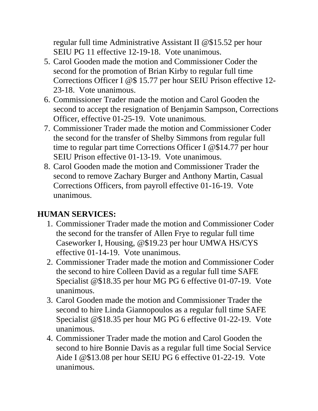regular full time Administrative Assistant II @\$15.52 per hour SEIU PG 11 effective 12-19-18. Vote unanimous.

- 5. Carol Gooden made the motion and Commissioner Coder the second for the promotion of Brian Kirby to regular full time Corrections Officer I @\$ 15.77 per hour SEIU Prison effective 12- 23-18. Vote unanimous.
- 6. Commissioner Trader made the motion and Carol Gooden the second to accept the resignation of Benjamin Sampson, Corrections Officer, effective 01-25-19. Vote unanimous.
- 7. Commissioner Trader made the motion and Commissioner Coder the second for the transfer of Shelby Simmons from regular full time to regular part time Corrections Officer I @\$14.77 per hour SEIU Prison effective 01-13-19. Vote unanimous.
- 8. Carol Gooden made the motion and Commissioner Trader the second to remove Zachary Burger and Anthony Martin, Casual Corrections Officers, from payroll effective 01-16-19. Vote unanimous.

### **HUMAN SERVICES:**

- 1. Commissioner Trader made the motion and Commissioner Coder the second for the transfer of Allen Frye to regular full time Caseworker I, Housing, @\$19.23 per hour UMWA HS/CYS effective 01-14-19. Vote unanimous.
- 2. Commissioner Trader made the motion and Commissioner Coder the second to hire Colleen David as a regular full time SAFE Specialist @\$18.35 per hour MG PG 6 effective 01-07-19. Vote unanimous.
- 3. Carol Gooden made the motion and Commissioner Trader the second to hire Linda Giannopoulos as a regular full time SAFE Specialist @\$18.35 per hour MG PG 6 effective 01-22-19. Vote unanimous.
- 4. Commissioner Trader made the motion and Carol Gooden the second to hire Bonnie Davis as a regular full time Social Service Aide I @\$13.08 per hour SEIU PG 6 effective 01-22-19. Vote unanimous.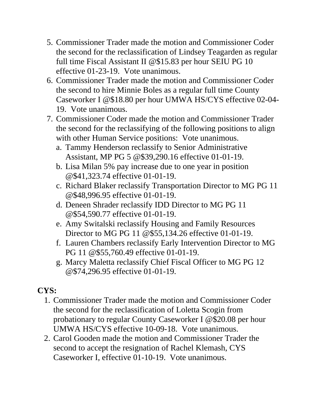- 5. Commissioner Trader made the motion and Commissioner Coder the second for the reclassification of Lindsey Teagarden as regular full time Fiscal Assistant II @\$15.83 per hour SEIU PG 10 effective 01-23-19. Vote unanimous.
- 6. Commissioner Trader made the motion and Commissioner Coder the second to hire Minnie Boles as a regular full time County Caseworker I @\$18.80 per hour UMWA HS/CYS effective 02-04- 19. Vote unanimous.
- 7. Commissioner Coder made the motion and Commissioner Trader the second for the reclassifying of the following positions to align with other Human Service positions: Vote unanimous.
	- a. Tammy Henderson reclassify to Senior Administrative Assistant, MP PG 5 @\$39,290.16 effective 01-01-19.
	- b. Lisa Milan 5% pay increase due to one year in position @\$41,323.74 effective 01-01-19.
	- c. Richard Blaker reclassify Transportation Director to MG PG 11 @\$48,996.95 effective 01-01-19.
	- d. Deneen Shrader reclassify IDD Director to MG PG 11 @\$54,590.77 effective 01-01-19.
	- e. Amy Switalski reclassify Housing and Family Resources Director to MG PG 11 @\$55,134.26 effective 01-01-19.
	- f. Lauren Chambers reclassify Early Intervention Director to MG PG 11 @\$55,760.49 effective 01-01-19.
	- g. Marcy Maletta reclassify Chief Fiscal Officer to MG PG 12 @\$74,296.95 effective 01-01-19.

## **CYS:**

- 1. Commissioner Trader made the motion and Commissioner Coder the second for the reclassification of Loletta Scogin from probationary to regular County Caseworker I @\$20.08 per hour UMWA HS/CYS effective 10-09-18. Vote unanimous.
- 2. Carol Gooden made the motion and Commissioner Trader the second to accept the resignation of Rachel Klemash, CYS Caseworker I, effective 01-10-19. Vote unanimous.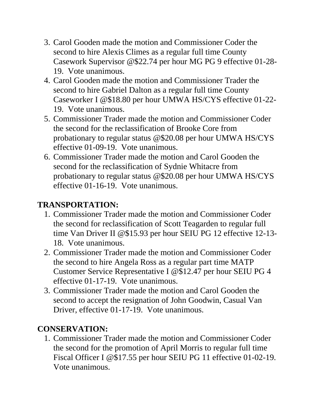- 3. Carol Gooden made the motion and Commissioner Coder the second to hire Alexis Climes as a regular full time County Casework Supervisor @\$22.74 per hour MG PG 9 effective 01-28- 19. Vote unanimous.
- 4. Carol Gooden made the motion and Commissioner Trader the second to hire Gabriel Dalton as a regular full time County Caseworker I @\$18.80 per hour UMWA HS/CYS effective 01-22- 19. Vote unanimous.
- 5. Commissioner Trader made the motion and Commissioner Coder the second for the reclassification of Brooke Core from probationary to regular status @\$20.08 per hour UMWA HS/CYS effective 01-09-19. Vote unanimous.
- 6. Commissioner Trader made the motion and Carol Gooden the second for the reclassification of Sydnie Whitacre from probationary to regular status @\$20.08 per hour UMWA HS/CYS effective 01-16-19. Vote unanimous.

### **TRANSPORTATION:**

- 1. Commissioner Trader made the motion and Commissioner Coder the second for reclassification of Scott Teagarden to regular full time Van Driver II @\$15.93 per hour SEIU PG 12 effective 12-13- 18. Vote unanimous.
- 2. Commissioner Trader made the motion and Commissioner Coder the second to hire Angela Ross as a regular part time MATP Customer Service Representative I @\$12.47 per hour SEIU PG 4 effective 01-17-19. Vote unanimous.
- 3. Commissioner Trader made the motion and Carol Gooden the second to accept the resignation of John Goodwin, Casual Van Driver, effective 01-17-19. Vote unanimous.

### **CONSERVATION:**

1. Commissioner Trader made the motion and Commissioner Coder the second for the promotion of April Morris to regular full time Fiscal Officer I @\$17.55 per hour SEIU PG 11 effective 01-02-19. Vote unanimous.